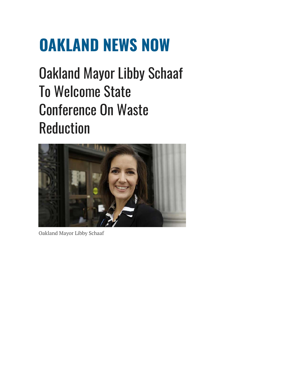## **OAKLAND NEWS NOW**

Oakland Mayor Libby Schaaf To Welcome State Conference On Waste Reduction



Oakland Mayor Libby Schaaf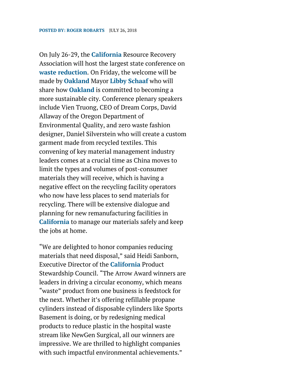On July 26-29, the **California** Resource Recovery Association will host the largest state conference on **waste reduction**. On Friday, the welcome will be made by **Oakland** Mayor **Libby Schaaf** who will share how **Oakland** is committed to becoming a more sustainable city. Conference plenary speakers include Vien Truong, CEO of Dream Corps, David Allaway of the Oregon Department of Environmental Quality, and zero waste fashion designer, Daniel Silverstein who will create a custom garment made from recycled textiles. This convening of key material management industry leaders comes at a crucial time as China moves to limit the types and volumes of post-consumer materials they will receive, which is having a negative effect on the recycling facility operators who now have less places to send materials for recycling. There will be extensive dialogue and planning for new remanufacturing facilities in **California** to manage our materials safely and keep the jobs at home.

"We are delighted to honor companies reducing materials that need disposal," said Heidi Sanborn, Executive Director of the **California** Product Stewardship Council. "The Arrow Award winners are leaders in driving a circular economy, which means "waste" product from one business is feedstock for the next. Whether it's offering refillable propane cylinders instead of disposable cylinders like Sports Basement is doing, or by redesigning medical products to reduce plastic in the hospital waste stream like NewGen Surgical, all our winners are impressive. We are thrilled to highlight companies with such impactful environmental achievements."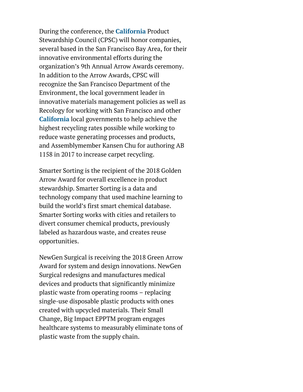During the conference, the **California** Product Stewardship Council (CPSC) will honor companies, several based in the San Francisco Bay Area, for their innovative environmental efforts during the organization's 9th Annual Arrow Awards ceremony. In addition to the Arrow Awards, CPSC will recognize the San Francisco Department of the Environment, the local government leader in innovative materials management policies as well as Recology for working with San Francisco and other **California** local governments to help achieve the highest recycling rates possible while working to reduce waste generating processes and products, and Assemblymember Kansen Chu for authoring AB 1158 in 2017 to increase carpet recycling.

Smarter Sorting is the recipient of the 2018 Golden Arrow Award for overall excellence in product stewardship. Smarter Sorting is a data and technology company that used machine learning to build the world's first smart chemical database. Smarter Sorting works with cities and retailers to divert consumer chemical products, previously labeled as hazardous waste, and creates reuse opportunities.

NewGen Surgical is receiving the 2018 Green Arrow Award for system and design innovations. NewGen Surgical redesigns and manufactures medical devices and products that significantly minimize plastic waste from operating rooms – replacing single-use disposable plastic products with ones created with upcycled materials. Their Small Change, Big Impact EPPTM program engages healthcare systems to measurably eliminate tons of plastic waste from the supply chain.